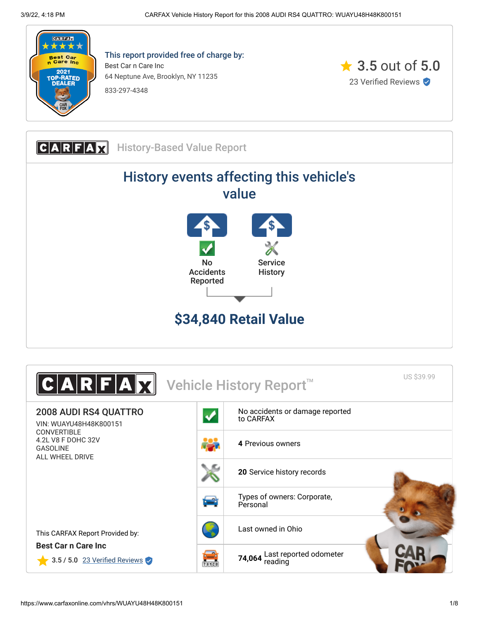

This report provided free of charge by: Best Car n Care Inc 64 Neptune Ave, Brooklyn, NY 11235 833-297-4348



**CARFAX** History-Based Value Report History events affecting this vehicle's value No Accidents Reported **Service History \$34,840 Retail Value**

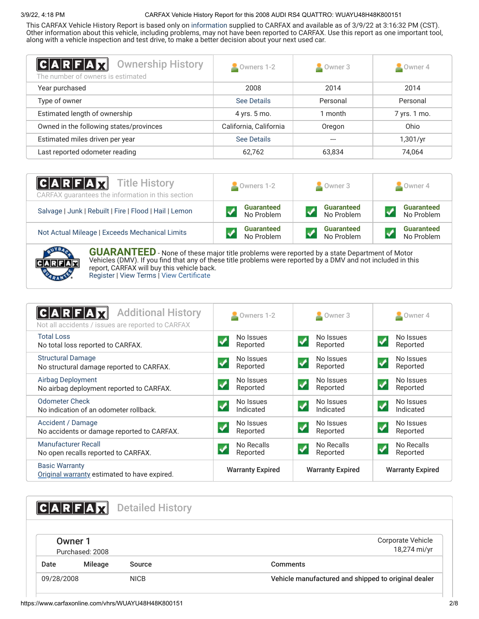This CARFAX Vehicle History Report is based only on [information](http://www.carfax.com/company/vhr-data-sources) supplied to CARFAX and available as of 3/9/22 at 3:16:32 PM (CST). Other information about this vehicle, including problems, may not have been reported to CARFAX. Use this report as one important tool, along with a vehicle inspection and test drive, to make a better decision about your next used car.

<span id="page-1-1"></span>

| $ {\bf C} {\bf A} {\bf R} {\bf F} {\bf A} {\bf X} $<br><b>Ownership History</b><br>The number of owners is estimated | Owners 1-2             | $\sim$ Owner 3 | $\sim$ Owner 4 |
|----------------------------------------------------------------------------------------------------------------------|------------------------|----------------|----------------|
| Year purchased                                                                                                       | 2008                   | 2014           | 2014           |
| Type of owner                                                                                                        | See Details            | Personal       | Personal       |
| Estimated length of ownership                                                                                        | 4 yrs. 5 mo.           | 1 month        | 7 yrs. 1 mo.   |
| Owned in the following states/provinces                                                                              | California, California | Oregon         | Ohio           |
| Estimated miles driven per year                                                                                      | See Details            |                | 1,301/yr       |
| Last reported odometer reading                                                                                       | 62,762                 | 63,834         | 74,064         |

| <b>CARFAX</b> Title History<br>CARFAX guarantees the information in this section | $\bullet$ Owners 1-2 | Owner 3           | Owner 4           |
|----------------------------------------------------------------------------------|----------------------|-------------------|-------------------|
| Salvage   Junk   Rebuilt   Fire   Flood   Hail   Lemon                           | <b>Guaranteed</b>    | <b>Guaranteed</b> | <b>Guaranteed</b> |
|                                                                                  | No Problem           | No Problem        | No Problem        |
| Not Actual Mileage   Exceeds Mechanical Limits                                   | <b>Guaranteed</b>    | <b>Guaranteed</b> | <b>Guaranteed</b> |
|                                                                                  | No Problem           | No Problem        | No Problem        |

![](_page_1_Figure_5.jpeg)

**GUARANTEED** - None of these major title problems were reported by a state Department of Motor Vehicles (DMV). If you find that any of these title problems were reported by a DMV and not included in this report, CARFAX will buy this vehicle back. [Register](https://www.carfax.com/Service/bbg) | [View Terms](http://www.carfaxonline.com/legal/bbgTerms) | [View Certificate](https://www.carfaxonline.com/vhrs/WUAYU48H48K800151)

<span id="page-1-0"></span>

| <b>Additional History</b><br>Not all accidents / issues are reported to CARFAX | Owners 1-2                                | Owner 3                                          | $\blacksquare$ Owner 4                         |
|--------------------------------------------------------------------------------|-------------------------------------------|--------------------------------------------------|------------------------------------------------|
| <b>Total Loss</b><br>No total loss reported to CARFAX.                         | No Issues<br>Reported                     | No Issues<br>$\overline{\mathbf{v}}$<br>Reported | No Issues<br>$\blacktriangledown$<br>Reported  |
| <b>Structural Damage</b><br>No structural damage reported to CARFAX.           | No Issues<br>Reported                     | No Issues<br>Reported                            | No Issues<br>Reported                          |
| <b>Airbag Deployment</b><br>No airbag deployment reported to CARFAX.           | No Issues<br>Reported                     | No Issues<br>$\blacktriangledown$<br>Reported    | No Issues<br>$\blacktriangledown$<br>Reported  |
| <b>Odometer Check</b><br>No indication of an odometer rollback.                | No Issues<br>Indicated                    | No Issues<br>Indicated                           | No Issues<br>$\blacktriangledown$<br>Indicated |
| Accident / Damage<br>No accidents or damage reported to CARFAX.                | No Issues<br>$\boldsymbol{J}$<br>Reported | No Issues<br>$\overline{\mathbf{v}}$<br>Reported | No Issues<br>$\blacklozenge$<br>Reported       |
| Manufacturer Recall<br>No open recalls reported to CARFAX.                     | No Recalls<br>Reported                    | No Recalls<br>Reported                           | No Recalls<br>Reported                         |
| <b>Basic Warranty</b><br>Original warranty estimated to have expired.          | <b>Warranty Expired</b>                   | <b>Warranty Expired</b>                          | <b>Warranty Expired</b>                        |

<span id="page-1-3"></span><span id="page-1-2"></span>

|            | C A R F A Z                | <b>Detailed History</b> |                                                     |
|------------|----------------------------|-------------------------|-----------------------------------------------------|
|            | Owner 1<br>Purchased: 2008 |                         | Corporate Vehicle<br>18,274 mi/yr                   |
| Date       | <b>Mileage</b>             | Source                  | <b>Comments</b>                                     |
| 09/28/2008 |                            | <b>NICB</b>             | Vehicle manufactured and shipped to original dealer |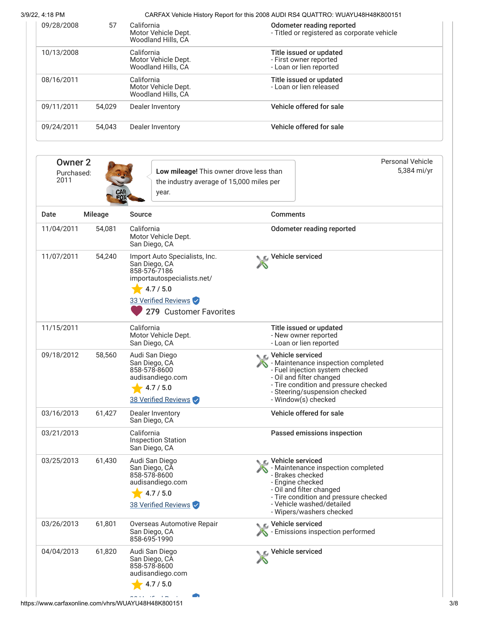| 09/28/2008 | 57     | California<br>Motor Vehicle Dept.<br>Woodland Hills, CA | Odometer reading reported<br>- Titled or registered as corporate vehicle     |
|------------|--------|---------------------------------------------------------|------------------------------------------------------------------------------|
| 10/13/2008 |        | California<br>Motor Vehicle Dept.<br>Woodland Hills, CA | Title issued or updated<br>- First owner reported<br>- Loan or lien reported |
| 08/16/2011 |        | California<br>Motor Vehicle Dept.<br>Woodland Hills, CA | Title issued or updated<br>- Loan or lien released                           |
| 09/11/2011 | 54.029 | Dealer Inventory                                        | Vehicle offered for sale                                                     |
| 09/24/2011 | 54.043 | Dealer Inventory                                        | Vehicle offered for sale                                                     |

| <b>Owner 2</b><br>Purchased:<br>2011 |         | Low mileage! This owner drove less than<br>the industry average of 15,000 miles per<br>year.                                                               |                                                                                                                                                                                                                                 | <b>Personal Vehicle</b><br>5,384 mi/yr |
|--------------------------------------|---------|------------------------------------------------------------------------------------------------------------------------------------------------------------|---------------------------------------------------------------------------------------------------------------------------------------------------------------------------------------------------------------------------------|----------------------------------------|
| Date                                 | Mileage | <b>Source</b>                                                                                                                                              | <b>Comments</b>                                                                                                                                                                                                                 |                                        |
| 11/04/2011                           | 54,081  | California<br>Motor Vehicle Dept.<br>San Diego, CA                                                                                                         | Odometer reading reported                                                                                                                                                                                                       |                                        |
| 11/07/2011                           | 54,240  | Import Auto Specialists, Inc.<br>San Diego, CA<br>858-576-7186<br>importautospecialists.net/<br>4.7 / 5.0<br>33 Verified Reviews<br>279 Customer Favorites | Vehicle serviced                                                                                                                                                                                                                |                                        |
| 11/15/2011                           |         | California<br>Motor Vehicle Dept.<br>San Diego, CA                                                                                                         | Title issued or updated<br>- New owner reported<br>- Loan or lien reported                                                                                                                                                      |                                        |
| 09/18/2012                           | 58,560  | Audi San Diego<br>San Diego, CA<br>858-578-8600<br>audisandiego.com<br>4.7 / 5.0<br>38 Verified Reviews                                                    | <b>C</b> Vehicle serviced<br>- Maintenance inspection completed<br>- Fuel injection system checked<br>- Oil and filter changed<br>- Tire condition and pressure checked<br>- Steering/suspension checked<br>- Window(s) checked |                                        |
| 03/16/2013                           | 61,427  | Dealer Inventory<br>San Diego, CA                                                                                                                          | Vehicle offered for sale                                                                                                                                                                                                        |                                        |
| 03/21/2013                           |         | California<br><b>Inspection Station</b><br>San Diego, CA                                                                                                   | Passed emissions inspection                                                                                                                                                                                                     |                                        |
| 03/25/2013                           | 61,430  | Audi San Diego<br>San Diego, CA<br>858-578-8600<br>audisandiego.com<br>4.7 / 5.0<br>38 Verified Reviews                                                    | C. Vehicle serviced<br>- Maintenance inspection completed<br>- Brakes checked<br>- Engine checked<br>- Oil and filter changed<br>- Tire condition and pressure checked<br>- Vehicle washed/detailed<br>- Wipers/washers checked |                                        |
| 03/26/2013                           | 61,801  | Overseas Automotive Repair<br>San Diego, CA<br>858-695-1990                                                                                                | C Vehicle serviced<br>- Emissions inspection performed                                                                                                                                                                          |                                        |
| 04/04/2013                           | 61,820  | Audi San Diego<br>San Diego, CA<br>858-578-8600<br>audisandiego.com<br>4.7 / 5.0                                                                           | Vehicle serviced                                                                                                                                                                                                                |                                        |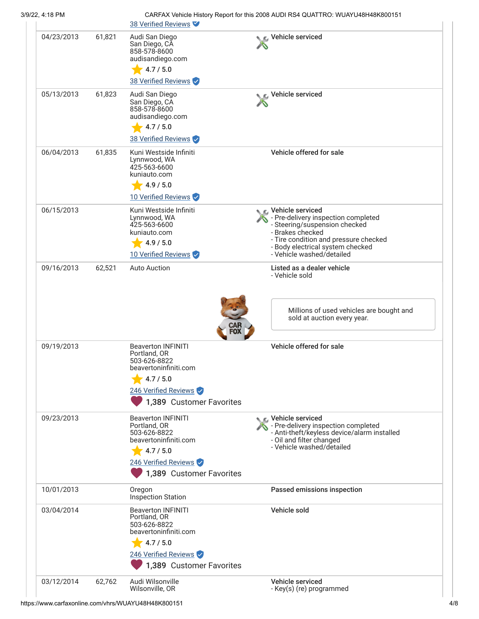| 3/9/22, 4:18 PM |        | 38 Verified Reviews                                                                                                                                                             | CARFAX Vehicle History Report for this 2008 AUDI RS4 QUATTRO: WUAYU48H48K800151                                                                                                                                            |
|-----------------|--------|---------------------------------------------------------------------------------------------------------------------------------------------------------------------------------|----------------------------------------------------------------------------------------------------------------------------------------------------------------------------------------------------------------------------|
| 04/23/2013      | 61,821 | Audi San Diego<br>San Diego, CA<br>858-578-8600<br>audisandiego.com<br>4.7 / 5.0<br>38 Verified Reviews                                                                         | Vehicle serviced                                                                                                                                                                                                           |
| 05/13/2013      | 61,823 | Audi San Diego<br>San Diego, CA<br>858-578-8600<br>audisandiego.com<br>4.7 / 5.0<br>38 Verified Reviews                                                                         | Vehicle serviced                                                                                                                                                                                                           |
| 06/04/2013      | 61,835 | Kuni Westside Infiniti<br>Lynnwood, WA<br>425-563-6600<br>kuniauto.com<br>4.9 / 5.0<br>10 Verified Reviews                                                                      | Vehicle offered for sale                                                                                                                                                                                                   |
| 06/15/2013      |        | Kuni Westside Infiniti<br>Lynnwood, WA<br>425-563-6600<br>kuniauto.com<br>4.9 / 5.0<br>10 Verified Reviews                                                                      | ९ C Vehicle serviced<br>- Pre-delivery inspection completed<br>- Steering/suspension checked<br>- Brakes checked<br>- Tire condition and pressure checked<br>- Body electrical system checked<br>- Vehicle washed/detailed |
| 09/16/2013      | 62,521 | <b>Auto Auction</b>                                                                                                                                                             | Listed as a dealer vehicle<br>- Vehicle sold<br>Millions of used vehicles are bought and<br>sold at auction every year.                                                                                                    |
| 09/19/2013      |        | <b>Beaverton INFINITI</b><br>Portland, OR<br>503-626-8822<br>beavertoninfiniti.com<br>4.7 / 5.0<br>246 Verified Reviews                                                         | Vehicle offered for sale                                                                                                                                                                                                   |
| 09/23/2013      |        | 1,389 Customer Favorites<br><b>Beaverton INFINITI</b><br>Portland, OR<br>503-626-8822<br>beavertoninfiniti.com<br>4.7 / 5.0<br>246 Verified Reviews<br>1,389 Customer Favorites | Vehicle serviced<br>- Pre-delivery inspection completed<br>- Anti-theft/keyless device/alarm installed<br>- Oil and filter changed<br>- Vehicle washed/detailed                                                            |
| 10/01/2013      |        | Oregon<br><b>Inspection Station</b>                                                                                                                                             | Passed emissions inspection                                                                                                                                                                                                |
| 03/04/2014      |        | <b>Beaverton INFINITI</b><br>Portland, OR<br>503-626-8822<br>beavertoninfiniti.com<br>4.7 / 5.0<br>246 Verified Reviews<br>1,389 Customer Favorites                             | Vehicle sold                                                                                                                                                                                                               |
| 03/12/2014      | 62,762 | Audi Wilsonville<br>Wilsonville, OR                                                                                                                                             | Vehicle serviced<br>- Key(s) (re) programmed                                                                                                                                                                               |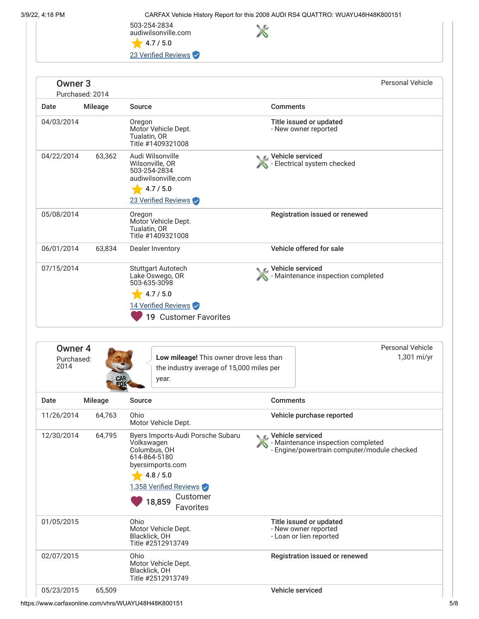$\times$ 

503-254-2834 audiwilsonville.com  $\bigstar$  4.7 / 5.0

23 Verified Reviews

| Owner <sub>3</sub> | Purchased: 2014 |                                                                                                                           | Personal Vehicle                                            |  |
|--------------------|-----------------|---------------------------------------------------------------------------------------------------------------------------|-------------------------------------------------------------|--|
| Date               | Mileage         | Source                                                                                                                    | <b>Comments</b>                                             |  |
| 04/03/2014         |                 | Oregon<br>Motor Vehicle Dept.<br>Tualatin, OR<br>Title #1409321008                                                        | Title issued or updated<br>- New owner reported             |  |
| 04/22/2014         | 63,362          | Audi Wilsonville<br>Wilsonville, OR<br>503-254-2834<br>audiwilsonville.com<br>4.7 / 5.0<br>23 Verified Reviews            | <b>NE</b> Vehicle serviced<br>- Electrical system checked   |  |
| 05/08/2014         |                 | Oregon<br>Motor Vehicle Dept.<br>Tualatin, OR<br>Title #1409321008                                                        | <b>Registration issued or renewed</b>                       |  |
| 06/01/2014         | 63,834          | Dealer Inventory                                                                                                          | Vehicle offered for sale                                    |  |
| 07/15/2014         |                 | <b>Stuttgart Autotech</b><br>Lake Oswego, OR<br>503-635-3098<br>4.7 / 5.0<br>14 Verified Reviews<br>19 Customer Favorites | ⊾ ∈. Vehicle serviced<br>- Maintenance inspection completed |  |

| Owner 4<br>Purchased:<br>2014 | CAR<br>FOX <sup>4</sup> | Low mileage! This owner drove less than<br>the industry average of 15,000 miles per<br>year.                                                                                         |                                                                            | <b>Personal Vehicle</b><br>1,301 mi/yr                                            |
|-------------------------------|-------------------------|--------------------------------------------------------------------------------------------------------------------------------------------------------------------------------------|----------------------------------------------------------------------------|-----------------------------------------------------------------------------------|
| Date                          | <b>Mileage</b>          | Source                                                                                                                                                                               | <b>Comments</b>                                                            |                                                                                   |
| 11/26/2014                    | 64,763                  | Ohio<br>Motor Vehicle Dept.                                                                                                                                                          | Vehicle purchase reported                                                  |                                                                                   |
| 12/30/2014                    | 64,795                  | Byers Imports-Audi Porsche Subaru<br>Volkswagen<br>Columbus, OH<br>614-864-5180<br>byersimports.com<br>4.8 / 5.0<br>1,358 Verified Reviews<br>Customer<br>18,859<br><b>Favorites</b> | C. Vehicle serviced                                                        | - Maintenance inspection completed<br>- Engine/powertrain computer/module checked |
| 01/05/2015                    |                         | Ohio<br>Motor Vehicle Dept.<br>Blacklick, OH<br>Title #2512913749                                                                                                                    | Title issued or updated<br>- New owner reported<br>- Loan or lien reported |                                                                                   |
| 02/07/2015                    |                         | Ohio<br>Motor Vehicle Dept.<br>Blacklick, OH<br>Title #2512913749                                                                                                                    | Registration issued or renewed                                             |                                                                                   |
| 05/23/2015                    | 65,509                  |                                                                                                                                                                                      | Vehicle serviced                                                           |                                                                                   |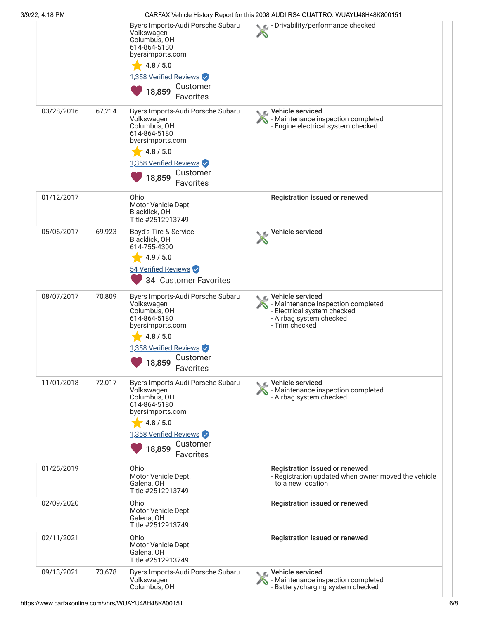| 3/9/22, 4:18 PM |        |                                                                                                                                                                               | CARFAX Vehicle History Report for this 2008 AUDI RS4 QUATTRO: WUAYU48H48K800151                                                        |
|-----------------|--------|-------------------------------------------------------------------------------------------------------------------------------------------------------------------------------|----------------------------------------------------------------------------------------------------------------------------------------|
|                 |        | Byers Imports-Audi Porsche Subaru<br>Volkswagen<br>Columbus, OH<br>614-864-5180<br>byersimports.com<br>4.8 / 5.0<br>1,358 Verified Reviews<br>Customer<br>18,859<br>Favorites | Drivability/performance checked                                                                                                        |
| 03/28/2016      | 67,214 | Byers Imports-Audi Porsche Subaru<br>Volkswagen<br>Columbus, OH<br>614-864-5180<br>byersimports.com<br>4.8 / 5.0<br>1,358 Verified Reviews<br>Customer<br>18,859<br>Favorites | ९ ∟ Vehicle serviced<br>Maintenance inspection completed<br>- Engine electrical system checked                                         |
| 01/12/2017      |        | Ohio<br>Motor Vehicle Dept.<br>Blacklick, OH<br>Title #2512913749                                                                                                             | Registration issued or renewed                                                                                                         |
| 05/06/2017      | 69,923 | Boyd's Tire & Service<br>Blacklick, OH<br>614-755-4300<br>4.9 / 5.0<br>54 Verified Reviews<br>34 Customer Favorites                                                           | Vehicle serviced                                                                                                                       |
| 08/07/2017      | 70,809 | Byers Imports-Audi Porsche Subaru<br>Volkswagen<br>Columbus, OH<br>614-864-5180<br>byersimports.com<br>$-4.8/5.0$<br>1,358 Verified Reviews<br>18,859 Customer<br>Favorites   | ९ ⊾ Vehicle serviced<br>- Maintenance inspection completed<br>- Electrical system checked<br>- Airbag system checked<br>- Trim checked |
| 11/01/2018      | 72,017 | Byers Imports-Audi Porsche Subaru<br>Volkswagen<br>Columbus, OH<br>614-864-5180<br>byersimports.com<br>4.8 / 5.0<br>1,358 Verified Reviews<br>Customer<br>18,859<br>Favorites | C Vehicle serviced<br>- Maintenance inspection completed<br>- Airbag system checked                                                    |
| 01/25/2019      |        | Ohio<br>Motor Vehicle Dept.<br>Galena, OH<br>Title #2512913749                                                                                                                | Registration issued or renewed<br>- Registration updated when owner moved the vehicle<br>to a new location                             |
| 02/09/2020      |        | Ohio<br>Motor Vehicle Dept.<br>Galena, OH<br>Title #2512913749                                                                                                                | Registration issued or renewed                                                                                                         |
| 02/11/2021      |        | Ohio<br>Motor Vehicle Dept.<br>Galena, OH<br>Title #2512913749                                                                                                                | Registration issued or renewed                                                                                                         |
| 09/13/2021      | 73,678 | Byers Imports-Audi Porsche Subaru<br>Volkswagen<br>Columbus, OH                                                                                                               | C Vehicle serviced<br>- Maintenance inspection completed<br>- Battery/charging system checked                                          |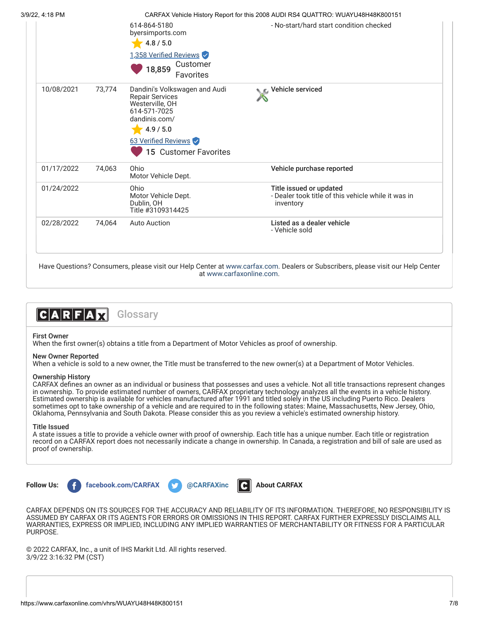| 3/9/22, 4:18 PM |        | 614-864-5180<br>byersimports.com<br>4.8 / 5.0<br>1,358 Verified Reviews<br>Customer<br>18,859                                                                                         | CARFAX Vehicle History Report for this 2008 AUDI RS4 QUATTRO: WUAYU48H48K800151<br>- No-start/hard start condition checked |
|-----------------|--------|---------------------------------------------------------------------------------------------------------------------------------------------------------------------------------------|----------------------------------------------------------------------------------------------------------------------------|
| 10/08/2021      | 73,774 | Favorites<br>Dandini's Volkswagen and Audi<br><b>Repair Services</b><br>Westerville, OH<br>614-571-7025<br>dandinis.com/<br>4.9 / 5.0<br>63 Verified Reviews<br>15 Customer Favorites | ic⊾ Vehicle serviced                                                                                                       |
| 01/17/2022      | 74,063 | Ohio<br>Motor Vehicle Dept.                                                                                                                                                           | Vehicle purchase reported                                                                                                  |
| 01/24/2022      |        | Ohio<br>Motor Vehicle Dept.<br>Dublin, OH<br>Title #3109314425                                                                                                                        | Title issued or updated<br>- Dealer took title of this vehicle while it was in<br>inventory                                |
| 02/28/2022      | 74,064 | <b>Auto Auction</b>                                                                                                                                                                   | Listed as a dealer vehicle<br>- Vehicle sold                                                                               |

Have Questions? Consumers, please visit our Help Center at [www.carfax.com](http://www.carfax.com/help). Dealers or Subscribers, please visit our Help Center at [www.carfaxonline.com.](http://www.carfaxonline.com/)

![](_page_6_Picture_2.jpeg)

## First Owner

When the first owner(s) obtains a title from a Department of Motor Vehicles as proof of ownership.

### New Owner Reported

When a vehicle is sold to a new owner, the Title must be transferred to the new owner(s) at a Department of Motor Vehicles.

#### Ownership History

CARFAX defines an owner as an individual or business that possesses and uses a vehicle. Not all title transactions represent changes in ownership. To provide estimated number of owners, CARFAX proprietary technology analyzes all the events in a vehicle history. Estimated ownership is available for vehicles manufactured after 1991 and titled solely in the US including Puerto Rico. Dealers sometimes opt to take ownership of a vehicle and are required to in the following states: Maine, Massachusetts, New Jersey, Ohio, Oklahoma, Pennsylvania and South Dakota. Please consider this as you review a vehicle's estimated ownership history.

#### Title Issued

A state issues a title to provide a vehicle owner with proof of ownership. Each title has a unique number. Each title or registration record on a CARFAX report does not necessarily indicate a change in ownership. In Canada, a registration and bill of sale are used as proof of ownership.

![](_page_6_Picture_11.jpeg)

![](_page_6_Picture_13.jpeg)

![](_page_6_Picture_14.jpeg)

CARFAX DEPENDS ON ITS SOURCES FOR THE ACCURACY AND RELIABILITY OF ITS INFORMATION. THEREFORE, NO RESPONSIBILITY IS ASSUMED BY CARFAX OR ITS AGENTS FOR ERRORS OR OMISSIONS IN THIS REPORT. CARFAX FURTHER EXPRESSLY DISCLAIMS ALL WARRANTIES, EXPRESS OR IMPLIED, INCLUDING ANY IMPLIED WARRANTIES OF MERCHANTABILITY OR FITNESS FOR A PARTICULAR PURPOSE.

© 2022 CARFAX, Inc., a unit of IHS Markit Ltd. All rights reserved. 3/9/22 3:16:32 PM (CST)